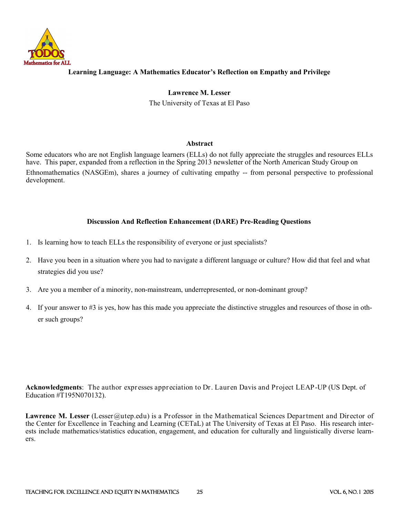

## **Learning Language: A Mathematics Educator's Reflection on Empathy and Privilege**

**Lawrence M. Lesser**  The University of Texas at El Paso

### **Abstract**

Some educators who are not English language learners (ELLs) do not fully appreciate the struggles and resources ELLs have. This paper, expanded from a reflection in the Spring 2013 newsletter of the North American Study Group on Ethnomathematics (NASGEm), shares a journey of cultivating empathy -- from personal perspective to professional development.

## **Discussion And Reflection Enhancement (DARE) Pre-Reading Questions**

- 1. Is learning how to teach ELLs the responsibility of everyone or just specialists?
- 2. Have you been in a situation where you had to navigate a different language or culture? How did that feel and what strategies did you use?
- 3. Are you a member of a minority, non-mainstream, underrepresented, or non-dominant group?
- 4. If your answer to #3 is yes, how has this made you appreciate the distinctive struggles and resources of those in other such groups?

**Acknowledgments**: The author expresses appreciation to Dr. Lauren Davis and Project LEAP-UP (US Dept. of Education #T195N070132).

**Lawrence M. Lesser** (Lesser (Qutep.edu) is a Professor in the Mathematical Sciences Department and Director of the Center for Excellence in Teaching and Learning (CETaL) at The University of Texas at El Paso. His research interests include mathematics/statistics education, engagement, and education for culturally and linguistically diverse learners.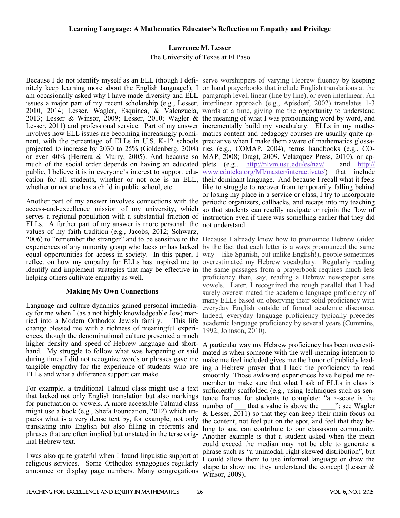# **Lawrence M. Lesser**

The University of Texas at El Paso

Because I do not identify myself as an ELL (though I defi-serve worshippers of varying Hebrew fluency by keeping nitely keep learning more about the English language!), I on hand prayerbooks that include English translations at the am occasionally asked why I have made diversity and ELL paragraph level, linear (line by line), or even interlinear. An issues a major part of my recent scholarship (e.g., Lesser, interlinear approach (e.g., Apisdorf, 2002) translates 1-3 2010, 2014; Lesser, Wagler, Esquinca, & Valenzuela, words at a time, giving me the opportunity to understand 2013; Lesser & Winsor, 2009; Lesser, 2010; Wagler & the meaning of what I was pronouncing word by word, and Lesser, 2011) and professional service. Part of my answer incrementally build my vocabulary. ELLs in my matheinvolves how ELL issues are becoming increasingly promi-matics content and pedagogy courses are usually quite apnent, with the percentage of ELLs in U.S. K-12 schools preciative when I make them aware of mathematics glossaprojected to increase by 2030 to 25% (Goldenberg, 2008) ries (e.g., COMAP, 2004), terms handbooks (e.g., COor even 40% (Herrera & Murry, 2005). And because so MAP, 2008; Dragt, 2009, Velázquez Press, 2010), or apmuch of the social order depends on having an educated plets (e.g., <http://nlvm.usu.edu/es/nav/>and [http://](http://www.eduteka.org/MI/master/interactivate/) public, I believe it is in everyone's interest to support edu- [www.eduteka.org/MI/master/interactivate/\)](http://www.eduteka.org/MI/master/interactivate/) that include cation for all students, whether or not one is an ELL, their dominant language. And because I recall what it feels whether or not one has a child in public school, etc.

Another part of my answer involves connections with the access-and-excellence mission of my university, which serves a regional population with a substantial fraction of instruction even if there was something earlier that they did ELLs. A further part of my answer is more personal: the not understand. values of my faith tradition (e.g., Jacobs, 2012; Schwarz, 2006) to "remember the stranger" and to be sensitive to the Because I already knew how to pronounce Hebrew (aided experiences of any minority group who lacks or has lacked by the fact that each letter is always pronounced the same equal opportunities for access in society. In this paper, I way – like Spanish, but unlike English!), people sometimes reflect on how my empathy for ELLs has inspired me to overestimated my Hebrew vocabulary. Regularly reading identify and implement strategies that may be effective in the same passages from a prayerbook requires much less helping others cultivate empathy as well.

## **Making My Own Connections**

Language and culture dynamics gained personal immediacy for me when I (as a not highly knowledgeable Jew) married into a Modern Orthodox Jewish family. This life change blessed me with a richness of meaningful experiences, though the denominational culture presented a much higher density and speed of Hebrew language and shorthand. My struggle to follow what was happening or said during times I did not recognize words or phrases gave me tangible empathy for the experience of students who are ELLs and what a difference support can make.

For example, a traditional Talmud class might use a text that lacked not only English translation but also markings for punctuation or vowels. A more accessible Talmud class might use a book (e.g., Shefa Foundation, 2012) which unpacks what is a very dense text by, for example, not only translating into English but also filling in referents and phrases that are often implied but unstated in the terse original Hebrew text.

I was also quite grateful when I found linguistic support at religious services. Some Orthodox synagogues regularly announce or display page numbers. Many congregations

like to struggle to recover from temporarily falling behind or losing my place in a service or class, I try to incorporate periodic organizers, callbacks, and recaps into my teaching so that students can readily navigate or rejoin the flow of

proficiency than, say, reading a Hebrew newspaper sans vowels. Later, I recognized the rough parallel that I had surely overestimated the academic language proficiency of many ELLs based on observing their solid proficiency with everyday English outside of formal academic discourse. Indeed, everyday language proficiency typically precedes academic language proficiency by several years (Cummins, 1992; Johnson, 2010).

A particular way my Hebrew proficiency has been overestimated is when someone with the well-meaning intention to make me feel included gives me the honor of publicly leading a Hebrew prayer that I lack the proficiency to read smoothly. Those awkward experiences have helped me remember to make sure that what I ask of ELLs in class is sufficiently scaffolded (e.g., using techniques such as sentence frames for students to complete: "a *z*-score is the number of that a value is above the "; see Wagler & Lesser,  $\overline{2011}$ ) so that they can keep their main focus on the content, not feel put on the spot, and feel that they belong to and can contribute to our classroom community. Another example is that a student asked when the mean could exceed the median may not be able to generate a phrase such as "a unimodal, right-skewed distribution", but I could allow them to use informal language or draw the shape to show me they understand the concept (Lesser  $\&$ Winsor, 2009).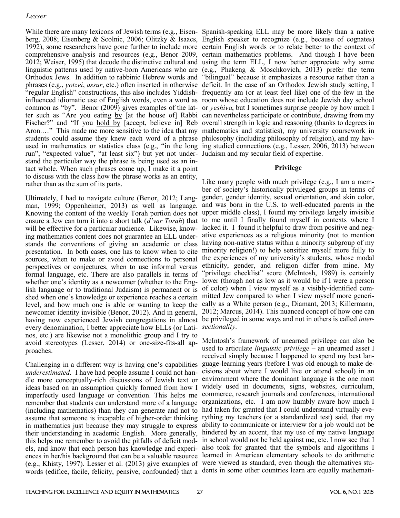While there are many lexicons of Jewish terms (e.g., Eisen-Spanish-speaking ELL may be more likely than a native students could assume they knew each word of a phrase philosophy (including philosophy of religion), and my havrun", "expected value", "at least six") but yet not under-Judaism and my secular field of expertise. stand the particular way the phrase is being used as an intact whole. When such phrases come up, I make it a point to discuss with the class how the phrase works as an entity, rather than as the sum of its parts.

Ultimately, I had to navigate culture (Benor, 2012; Langman, 1999; Oppenheimer, 2013) as well as language. Knowing the content of the weekly Torah portion does not upper middle class), I found my privilege largely invisible ensure a Jew can turn it into a short talk (*d'var Torah*) that to me until I finally found myself in contexts where I will be effective for a particular audience. Likewise, know-lacked it. I found it helpful to draw from positive and neging mathematics content does not guarantee an ELL under-ative experiences as a religious minority (not to mention stands the conventions of giving an academic or class having non-native status within a minority subgroup of my presentation. In both cases, one has to know when to cite minority religion!) to help sensitize myself more fully to sources, when to make or avoid connections to personal perspectives or conjectures, when to use informal versus formal language, etc. There are also parallels in terms of whether one's identity as a newcomer (whether to the English language or to traditional Judaism) is permanent or is shed when one's knowledge or experience reaches a certain level, and how much one is able or wanting to keep the cally as a White person (e.g., Diamant, 2013; Killermann, newcomer identity invisible (Benor, 2012). And in general, having now experienced Jewish congregations in almost be privileged in some ways and not in others is called *inter*every denomination, I better appreciate how ELLs (or Latinos, etc.) are likewise not a monolithic group and I try to avoid stereotypes (Lesser, 2014) or one-size-fits-all approaches.

*underestimated*. I have had people assume I could not handle more conceptually-rich discussions of Jewish text or environment where the dominant language is the one most ideas based on an assumption quickly formed from how I widely used in documents, signs, websites, curriculum, imperfectly used language or convention. This helps me commerce, research journals and conferences, international remember that students can understand more of a language organizations, etc. I am now humbly aware how much I (including mathematics) than they can generate and not to assume that someone is incapable of higher-order thinking in mathematics just because they may struggle to express their understanding in academic English. More generally, this helps me remember to avoid the pitfalls of deficit models, and know that each person has knowledge and experiences in her/his background that can be a valuable resource learned in American elementary schools to do arithmetic (e.g., Khisty, 1997). Lesser et al. (2013) give examples of were viewed as standard, even though the alternatives stuwords (edifice, facile, felicity, pensive, confounded) that a dents in some other countries learn are equally mathemati-

berg, 2008; Eisenberg & Scolnic, 2006; Olitzky & Isaacs, English speaker to recognize (e.g., because of cognates) 1992), some researchers have gone further to include more certain English words or to relate better to the context of comprehensive analysis and resources (e.g., Benor 2009, certain mathematics problems. And though I have been 2012; Weiser, 1995) that decode the distinctive cultural and using the term ELL, I now better appreciate why some linguistic patterns used by native-born Americans who are (e.g., Phakeng & Moschkovich, 2013) prefer the term Orthodox Jews. In addition to rabbinic Hebrew words and "bilingual" because it emphasizes a resource rather than a phrases (e.g., *yotzei*, *assur*, etc.) often inserted in otherwise deficit. In the case of an Orthodox Jewish study setting, I "regular English" constructions, this also includes Yiddish-frequently am (or at least feel like) one of the few in the influenced idiomatic use of English words, even a word as room whose education does not include Jewish day school common as "by". Benor (2009) gives examples of the lat-or *yeshiva*, but I sometimes surprise people by how much I ter such as "Are you eating by [at the house of] Rabbi can nevertheless participate or contribute, drawing from my Fischer?" and "If you hold by [accept, believe in] Reb overall strength in logic and reasoning (thanks to degrees in Aron.…" This made me more sensitive to the idea that my mathematics and statistics), my university coursework in used in mathematics or statistics class (e.g., "in the long ing studied connections (e.g., Lesser, 2006, 2013) between

#### **Privilege**

Like many people with much privilege (e.g., I am a member of society's historically privileged groups in terms of gender, gender identity, sexual orientation, and skin color, and was born in the U.S. to well-educated parents in the the experiences of my university's students, whose modal ethnicity, gender, and religion differ from mine. My "privilege checklist" score (McIntosh, 1989) is certainly lower (though not as low as it would be if I were a person of color) when I view myself as a visibly-identified committed Jew compared to when I view myself more generi-2012; Marcus, 2014). This nuanced concept of how one can *sectionality*.

Challenging in a different way is having one's capabilities guage-learning years (before I was old enough to make de-McIntosh's framework of unearned privilege can also be used to articulate *linguistic privilege* – an unearned asset I received simply because I happened to spend my best lancisions about where I would live or attend school) in an had taken for granted that I could understand virtually everything my teachers (or a standardized test) said, that my ability to communicate or interview for a job would not be hindered by an accent, that my use of my native language in school would not be held against me, etc. I now see that I also took for granted that the symbols and algorithms I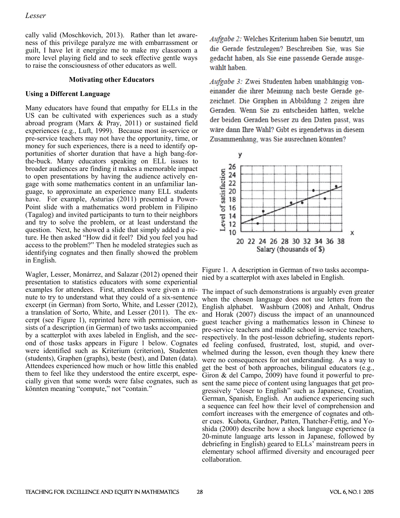cally valid (Moschkovich, 2013). Rather than let awareness of this privilege paralyze me with embarrassment or guilt, I have let it energize me to make my classroom a more level playing field and to seek effective gentle ways to raise the consciousness of other educators as well.

#### **Motivating other Educators**

#### **Using a Different Language**

Many educators have found that empathy for ELLs in the US can be cultivated with experiences such as a study abroad program (Marx & Pray, 2011) or sustained field experiences (e.g., Luft, 1999). Because most in-service or pre-service teachers may not have the opportunity, time, or money for such experiences, there is a need to identify opportunities of shorter duration that have a high bang-forthe-buck. Many educators speaking on ELL issues to broader audiences are finding it makes a memorable impact to open presentations by having the audience actively engage with some mathematics content in an unfamiliar language, to approximate an experience many ELL students have. For example, Asturias (2011) presented a Power-Point slide with a mathematics word problem in Filipino (Tagalog) and invited participants to turn to their neighbors and try to solve the problem, or at least understand the question. Next, he showed a slide that simply added a picture. He then asked "How did it feel? Did you feel you had access to the problem?" Then he modeled strategies such as identifying cognates and then finally showed the problem in English.

Wagler, Lesser, Monárrez, and Salazar (2012) opened their presentation to statistics educators with some experiential examples for attendees. First, attendees were given a minute to try to understand what they could of a six-sentence excerpt (in German) from Sorto, White, and Lesser (2012), a translation of Sorto, White, and Lesser (2011). The excerpt (see Figure 1), reprinted here with permission, consists of a description (in German) of two tasks accompanied by a scatterplot with axes labeled in English, and the second of those tasks appears in Figure 1 below. Cognates were identified such as Kriterium (criterion), Studenten (students), Graphen (graphs), beste (best), and Daten (data). Attendees experienced how much or how little this enabled them to feel like they understood the entire excerpt, especially given that some words were false cognates, such as könnten meaning "compute," not "contain."

Aufgabe 2: Welches Kriterium haben Sie benutzt, um die Gerade festzulegen? Beschreiben Sie, was Sie gedacht haben, als Sie eine passende Gerade ausgewählt haben

Aufgabe 3: Zwei Studenten haben unabhängig voneinander die ihrer Meinung nach beste Gerade gezeichnet. Die Graphen in Abbildung 2 zeigen ihre Geraden. Wenn Sie zu entscheiden hätten, welche der beiden Geraden besser zu den Daten passt, was wäre dann Ihre Wahl? Gibt es irgendetwas in diesem Zusammenhang, was Sie ausrechnen könnten?



Figure 1. A description in German of two tasks accompanied by a scatterplot with axes labeled in English.

The impact of such demonstrations is arguably even greater when the chosen language does not use letters from the English alphabet. Washburn (2008) and Anhalt, Ondrus and Horak (2007) discuss the impact of an unannounced guest teacher giving a mathematics lesson in Chinese to pre-service teachers and middle school in-service teachers, respectively. In the post-lesson debriefing, students reported feeling confused, frustrated, lost, stupid, and overwhelmed during the lesson, even though they knew there were no consequences for not understanding. As a way to get the best of both approaches, bilingual educators (e.g., Giron & del Campo, 2009) have found it powerful to present the same piece of content using languages that get progressively "closer to English" such as Japanese, Croatian, German, Spanish, English. An audience experiencing such a sequence can feel how their level of comprehension and comfort increases with the emergence of cognates and other cues. Kubota, Gardner, Patten, Thatcher-Fettig, and Yoshida (2000) describe how a shock language experience (a 20-minute language arts lesson in Japanese, followed by debriefing in English) geared to ELLs' mainstream peers in elementary school affirmed diversity and encouraged peer collaboration.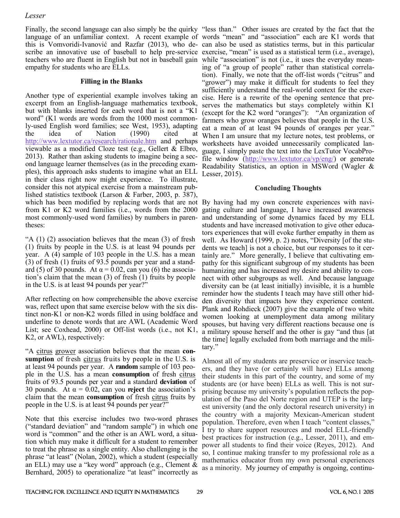Finally, the second language can also simply be the quirky "less than." Other issues are created by the fact that the language of an unfamiliar context. A recent example of words "mean" and "association" each are K1 words that this is Vomvoridi-Ivanović and Razfar (2013), who de-can also be used as statistics terms, but in this particular scribe an innovative use of baseball to help pre-service exercise, "mean" is used as a statistical term (i.e., average), teachers who are fluent in English but not in baseball gain while "association" is not (i.e., it uses the everyday meanempathy for students who are ELLs.

### **Filling in the Blanks**

Another type of experiential example involves taking an excerpt from an English-language mathematics textbook, but with blanks inserted for each word that is not a "K1 word" (K1 words are words from the 1000 most commonly-used English word families; see West, 1953), adapting the idea of Nation (1990) cited <http://www.lextutor.ca/research/rationale.htm> and perhaps viewable as a modified Cloze test (e.g., Gellert & Elbro, 2013). Rather than asking students to imagine being a second language learner themselves (as in the preceding examples), this approach asks students to imagine what an ELL in their class right now might experience. To illustrate, consider this not atypical exercise from a mainstream published statistics textbook (Larson & Farber, 2003, p. 387), which has been modified by replacing words that are not By having had my own concrete experiences with navifrom K1 or K2 word families (i.e., words from the 2000 most commonly-used word families) by numbers in parentheses:

"A  $(1)$   $(2)$  association believes that the mean  $(3)$  of fresh (1) fruits by people in the U.S. is at least 94 pounds per year. A (4) sample of 103 people in the U.S. has a mean (3) of fresh (1) fruits of 93.5 pounds per year and a standard (5) of 30 pounds. At  $\alpha = 0.02$ , can you (6) the association's claim that the mean (3) of fresh (1) fruits by people in the U.S. is at least 94 pounds per year?"

After reflecting on how comprehensible the above exercise was, reflect upon that same exercise below with the six distinct non-K1 or non-K2 words filled in using boldface and underline to denote words that are AWL (Academic Word List; see Coxhead, 2000) or Off-list words (i.e., not K1, K2, or AWL), respectively:

"A citrus grower association believes that the mean **consumption** of fresh citrus fruits by people in the U.S. is at least 94 pounds per year. A **random** sample of 103 people in the U.S. has a mean **consumption** of fresh citrus fruits of 93.5 pounds per year and a standard **deviation** of 30 pounds. At  $\alpha = 0.02$ , can you **reject** the association's claim that the mean **consumption** of fresh citrus fruits by people in the U.S. is at least 94 pounds per year?"

Note that this exercise includes two two-word phrases ("standard deviation" and "random sample") in which one word is "common" and the other is an AWL word, a situation which may make it difficult for a student to remember to treat the phrase as a single entity. Also challenging is the phrase "at least" (Nolan, 2002), which a student (especially an ELL) may use a "key word" approach (e.g., Clement & Bernhard, 2005) to operationalize "at least" incorrectly as

ing of "a group of people" rather than statistical correlation). Finally, we note that the off-list words ("citrus" and "grower") may make it difficult for students to feel they sufficiently understand the real-world context for the exercise. Here is a rewrite of the opening sentence that preserves the mathematics but stays completely within K1 (except for the K2 word "oranges"): "An organization of farmers who grow oranges believes that people in the U.S. eat a mean of at least 94 pounds of oranges per year." When I am unsure that my lecture notes, test problems, or worksheets have avoided unnecessarily complicated language, I simply paste the text into the LexTutor VocabProfile window [\(http://www.lextutor.ca/vp/eng/\)](http://www.lextutor.ca/vp/eng/) or generate Readability Statistics, an option in MSWord (Wagler & Lesser, 2015).

### **Concluding Thoughts**

gating culture and language, I have increased awareness and understanding of some dynamics faced by my ELL students and have increased motivation to give other educators experiences that will evoke further empathy in them as well. As Howard (1999, p. 2) notes, "Diversity [of the students we teach] is not a choice, but our responses to it certainly are." More generally, I believe that cultivating empathy for this significant subgroup of my students has been humanizing and has increased my desire and ability to connect with other subgroups as well. And because language diversity can be (at least initially) invisible, it is a humble reminder how the students I teach may have still other hidden diversity that impacts how they experience content. Plank and Rohdieck (2007) give the example of two white women looking at unemployment data among military spouses, but having very different reactions because one is a military spouse herself and the other is gay "and thus [at the time] legally excluded from both marriage and the military."

Almost all of my students are preservice or inservice teachers, and they have (or certainly will have) ELLs among their students in this part of the country, and some of my students are (or have been) ELLs as well. This is not surprising because my university's population reflects the population of the Paso del Norte region and UTEP is the largest university (and the only doctoral research university) in the country with a majority Mexican-American student population. Therefore, even when I teach "content classes," I try to share support resources and model ELL-friendly best practices for instruction (e.g., Lesser, 2011), and empower all students to find their voice (Reyes, 2012). And so, I continue making transfer to my professional role as a mathematics educator from my own personal experiences as a minority. My journey of empathy is ongoing, continu-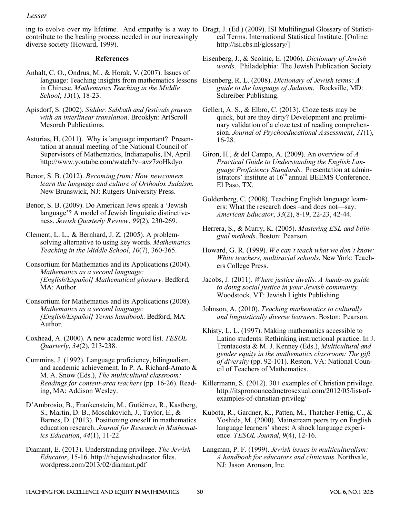contribute to the healing process needed in our increasingly diverse society (Howard, 1999).

#### **References**

- Anhalt, C. O., Ondrus, M., & Horak, V. (2007). Issues of language: Teaching insights from mathematics lessons Eisenberg, R. L. (2008). *Dictionary of Jewish terms: A*  in Chinese. *Mathematics Teaching in the Middle School*, *13*(1), 18-23.
- Apisdorf, S. (2002). *Siddur: Sabbath and festivals prayers with an interlinear translation*. Brooklyn: ArtScroll Mesorah Publications.
- Asturias, H. (2011). Why is language important? Presentation at annual meeting of the National Council of Supervisors of Mathematics, Indianapolis, IN, April. http://www.youtube.com/watch?v=avz7zoHkdyo
- Benor, S. B. (2012). *[Becoming frum: How newcomers](http://becomingfrum.weebly.com/)  [learn the language and culture of Orthodox Judaism](http://becomingfrum.weebly.com/)*. [New Brunswick, NJ: Rutgers University Press.](http://becomingfrum.weebly.com/)
- [Benor, S. B. \(2009\). Do American Jews speak a](http://huc.edu/faculty/faculty/benor/American%20Jewish%20Language%20JQR%202009.pdf) 'Jewish language'? [A model of Jewish linguistic distinctive](http://huc.edu/faculty/faculty/benor/American%20Jewish%20Language%20JQR%202009.pdf)ness. *[Jewish Quarterly Review](http://huc.edu/faculty/faculty/benor/American%20Jewish%20Language%20JQR%202009.pdf)*, *99*(2), 230-269.
- Clement, L. L., & Bernhard, J. Z. (2005). A problemsolving alternative to using key words. *Mathematics Teaching in the Middle School*, *10*(7), 360-365.
- Consortium for Mathematics and its Applications (2004). *Mathematics as a second language: [English/Español] Mathematical glossary*. Bedford, MA: Author.
- Consortium for Mathematics and its Applications (2008). *Mathematics as a second language: [English/Español] Terms handbook*. Bedford, MA: Author.
- Coxhead, A. (2000). A new academic word list. *TESOL Quarterly*, *34*(2), 213-238.
- Cummins, J. (1992). Language proficiency, bilingualism, and academic achievement. In P. A. Richard-Amato & M. A. Snow (Eds.), *The multicultural classroom:*  ing, MA: Addison Wesley.
- D'Ambrosio, B., Frankenstein, M., Gutiérrez, R., Kastberg, S., Martin, D. B., Moschkovich, J., Taylor, E., & Barnes, D. (2013). Positioning oneself in mathematics education research. *Journal for Research in Mathematics Education*, *44*(1), 11-22.
- Diamant, E. (2013). Understanding privilege. *The Jewish Educator*, 15-16. http://thejewisheducator.files. wordpress.com/2013/02/diamant.pdf
- ing to evolve over my lifetime. And empathy is a way to Dragt, J. (Ed.) (2009). ISI Multilingual Glossary of Statistical Terms. International Statistical Institute. [Online: http://isi.cbs.nl/glossary/]
	- Eisenberg, J., & Scolnic, E. (2006). *Dictionary of Jewish words*. Philadelphia: The Jewish Publication Society.
	- *guide to the language of Judaism*. Rockville, MD: Schreiber Publishing.
	- Gellert, A. S., & Elbro, C. (2013). Cloze tests may be quick, but are they dirty? Development and preliminary validation of a cloze test of reading comprehension. *Journal of Psychoeducational Assessment*, *31*(1), 16-28.
	- Giron, H., & del Campo, A. (2009). An overview of *A Practical Guide to Understanding the English Language Proficiency Standards*. Presentation at administrators' institute at 16<sup>th</sup> annual BEEMS Conference. El Paso, TX.
	- Goldenberg, C. (2008). Teaching English language learners: What the research does –and does not—say. *American Educator*, *33*(2), 8-19, 22-23, 42-44.
	- Herrera, S., & Murry, K. (2005). *Mastering ESL and bilingual methods*. Boston: Pearson.
	- Howard, G. R. (1999). *We can't teach what we don't know: White teachers, multiracial schools*. New York: Teachers College Press.
	- Jacobs, J. (2011). *Where justice dwells: A hands-on guide to doing social justice in your Jewish community*. Woodstock, VT: Jewish Lights Publishing.
	- Johnson, A. (2010). *Teaching mathematics to culturally and linguistically diverse learners*. Boston: Pearson.
	- Khisty, L. L. (1997). Making mathematics accessible to Latino students: Rethinking instructional practice. In J. Trentacosta & M. J. Kenney (Eds.), *Multicultural and gender equity in the mathematics classroom: The gift of diversity* (pp. 92-101). Reston, VA: National Council of Teachers of Mathematics.
	- *Readings for content-area teachers* (pp. 16-26). Read-Killermann, S. (2012). 30+ examples of Christian privilege. http://itspronouncedmetrosexual.com/2012/05/list-ofexamples-of-christian-privileg/
		- Kubota, R., Gardner, K., Patten, M., Thatcher-Fettig, C., & Yoshida, M. (2000). Mainstream peers try on English language learners' shoes: A shock language experience. *TESOL Journal*, *9*(4), 12-16.
		- Langman, P. F. (1999). *Jewish issues in multiculturalism: A handbook for educators and clinicians*. Northvale, NJ: Jason Aronson, Inc.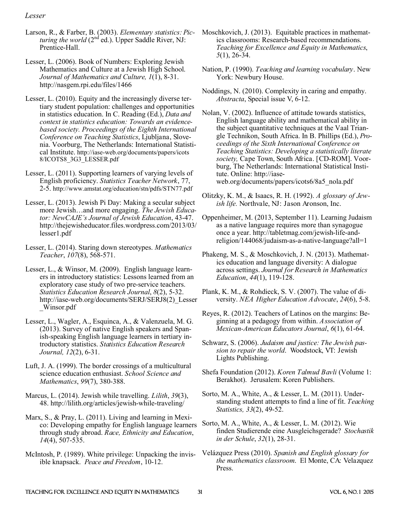- Larson, R., & Farber, B. (2003). *Elementary statistics: Picturing the world* (2<sup>nd</sup> ed.). Upper Saddle River, NJ: Prentice-Hall.
- Lesser, L. (2006). [Book of Numbers: Exploring Jewish](http://nasgem.rpi.edu/files/1466)  [Mathematics and Culture at a Jewish High School.](http://nasgem.rpi.edu/files/1466) *[Journal of Mathematics and Culture,](http://nasgem.rpi.edu/index.php?siteid=37&pageid=485) 1*(1), 8-31. <http://nasgem.rpi.edu/files/1466>
- Lesser, L. (2010). Equity and the increasingly diverse tertiary student population: challenges and opportunities in statistics education. In C. Reading (Ed.), *Data and context in statistics education: Towards an evidencebased society. Proceedings of the Eighth International Conference on Teaching Statistics*, Ljubljana, Slovenia. Voorburg, The Netherlands: International Statistical Institute. http://iase-web.org/documents/papers/icots 8/ICOTS8\_3G3\_LESSER.pdf
- Lesser, L. (2011). Supporting learners of varying levels of English proficiency. *Statistics Teacher Network*, 77, 2-5. http://www.amstat.org/education/stn/pdfs/STN77.pdf
- Lesser, L. (2013). Jewish Pi Day: Making a secular subject more Jewish…and more engaging. *The Jewish Educator: NewCAJE's Journal of Jewish Education*, 43-47. http://thejewisheducator.files.wordpress.com/2013/03/ lesser1.pdf
- Lesser, L. (2014). Staring down stereotypes. *Mathematics Teacher*, *107*(8), 568-571.
- Lesser, L., & Winsor, M. (2009). English language learners in introductory statistics: Lessons learned from an exploratory case study of two pre-service teachers. *Statistics Education Research Journal*, *8*(2), 5-32. http://iase-web.org/documents/SERJ/SERJ8(2)\_Lesser \_Winsor.pdf
- Lesser, L., Wagler, A., Esquinca, A., & Valenzuela, M. G. (2013). Survey of native English speakers and Spanish-speaking English language learners in tertiary introductory statistics. *Statistics Education Research Journal, 12*(2), 6-31.
- Luft, J. A. (1999). The border crossings of a multicultural science education enthusiast. *School Science and Mathematics*, *99*(7), 380-388.
- Marcus, L. (2014). Jewish while travelling. *Lilith*, *39*(3), 48. http://lilith.org/articles/jewish-while-traveling/
- Marx, S., & Pray, L. (2011). Living and learning in Mexico: Developing empathy for English language learners through study abroad. *Race, Ethnicity and Education*, *14*(4), 507-535.
- McIntosh, P. (1989). White privilege: Unpacking the invisible knapsack. *Peace and Freedom*, 10-12.
- Moschkovich, J. (2013). Equitable practices in mathematics classrooms: Research-based recommendations. *Teaching for Excellence and Equity in Mathematics*, *5*(1), 26-34.
- Nation, P. (1990). *Teaching and learning vocabulary*. New York: Newbury House.
- Noddings, N. (2010). Complexity in caring and empathy. *Abstracta*, Special issue V, 6-12.
- Nolan, V. (2002). Influence of attitude towards statistics, English language ability and mathematical ability in the subject quantitative techniques at the Vaal Triangle Technikon, South Africa. In B. Phillips (Ed.), *Proceedings of the Sixth International Conference on Teaching Statistics: Developing a statistically literate society,* Cape Town, South Africa. [CD-ROM]. Voorburg, The Netherlands: International Statistical Institute. Online: http://iaseweb.org/documents/papers/icots6/8a5\_nola.pdf
- Olitzky, K. M., & Isaacs, R. H. (1992). *A glossary of Jewish life.* Northvale, NJ: Jason Aronson, Inc.
- Oppenheimer, M. (2013, September 11). Learning Judaism as a native language requires more than synagogue once a year. http://tabletmag.com/jewish-life-andreligion/144068/judaism-as-a-native-language?all=1
- Phakeng, M. S., & Moschkovich, J. N. (2013). Mathematics education and language diversity: A dialogue across settings. *Journal for Research in Mathematics Education*, *44*(1), 119-128.
- Plank, K. M., & Rohdieck, S. V. (2007). The value of diversity. *NEA Higher Education Advocate*, *24*(6), 5-8.
- Reyes, R. (2012). Teachers of Latinos on the margins: Beginning at a pedagogy from within. *Association of Mexican-American Educators Journal*, *6*(1), 61-64.
- Schwarz, S. (2006). *Judaism and justice: The Jewish passion to repair the world*. Woodstock, VT: Jewish Lights Publishing.
- Shefa Foundation (2012). *Koren Talmud Bavli* (Volume 1: Berakhot). Jerusalem: Koren Publishers.
- Sorto, M. A., White, A., & Lesser, L. M. (2011). Understanding student attempts to find a line of fit. *Teaching Statistics, 33*(2), 49-52.
- Sorto, M. A., White, A., & Lesser, L. M. (2012). Wie finden Studierende eine Ausgleichsgerade? *Stochastik in der Schule*, *32*(1), 28-31.
- Velázquez Press (2010). *Spanish and English glossary for the mathematics classroom*. El Monte, CA: Velazquez Press.